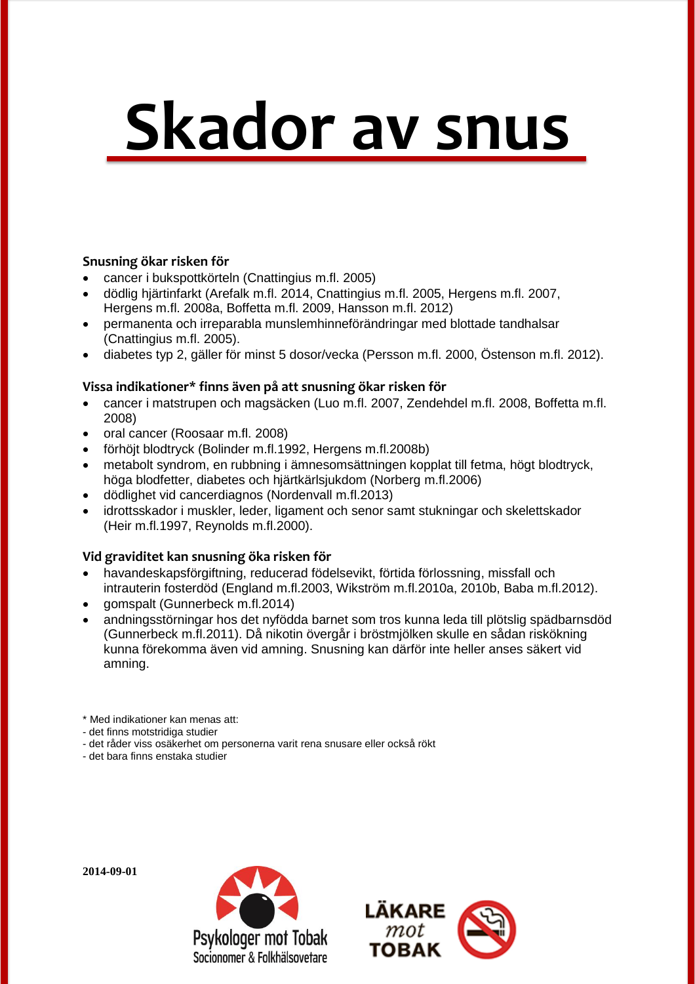# **Skador av snus**

#### **Snusning ökar risken för**

- cancer i bukspottkörteln (Cnattingius m.fl. 2005)
- dödlig hjärtinfarkt (Arefalk m.fl. 2014, Cnattingius m.fl. 2005, Hergens m.fl. 2007, Hergens m.fl. 2008a, Boffetta m.fl. 2009, Hansson m.fl. 2012)
- permanenta och irreparabla munslemhinneförändringar med blottade tandhalsar (Cnattingius m.fl. 2005).
- diabetes typ 2, gäller för minst 5 dosor/vecka (Persson m.fl. 2000, Östenson m.fl. 2012).

#### **Vissa indikationer\* finns även på att snusning ökar risken för**

- cancer i matstrupen och magsäcken (Luo m.fl. 2007, Zendehdel m.fl. 2008, Boffetta m.fl. 2008)
- oral cancer (Roosaar m.fl. 2008)
- förhöjt blodtryck (Bolinder m.fl.1992, Hergens m.fl.2008b)
- metabolt syndrom, en rubbning i ämnesomsättningen kopplat till fetma, högt blodtryck, höga blodfetter, diabetes och hjärtkärlsjukdom (Norberg m.fl.2006)
- dödlighet vid cancerdiagnos (Nordenvall m.fl.2013)
- idrottsskador i muskler, leder, ligament och senor samt stukningar och skelettskador (Heir m.fl.1997, Reynolds m.fl.2000).

### **Vid graviditet kan snusning öka risken för**

- havandeskapsförgiftning, reducerad födelsevikt, förtida förlossning, missfall och intrauterin fosterdöd (England m.fl.2003, Wikström m.fl.2010a, 2010b, Baba m.fl.2012).
- gomspalt (Gunnerbeck m.fl.2014)
- andningsstörningar hos det nyfödda barnet som tros kunna leda till plötslig spädbarnsdöd (Gunnerbeck m.fl.2011). Då nikotin övergår i bröstmjölken skulle en sådan riskökning kunna förekomma även vid amning. Snusning kan därför inte heller anses säkert vid amning.
- \* Med indikationer kan menas att:
- det finns motstridiga studier
- det råder viss osäkerhet om personerna varit rena snusare eller också rökt
- det bara finns enstaka studier

**2014-09-01**